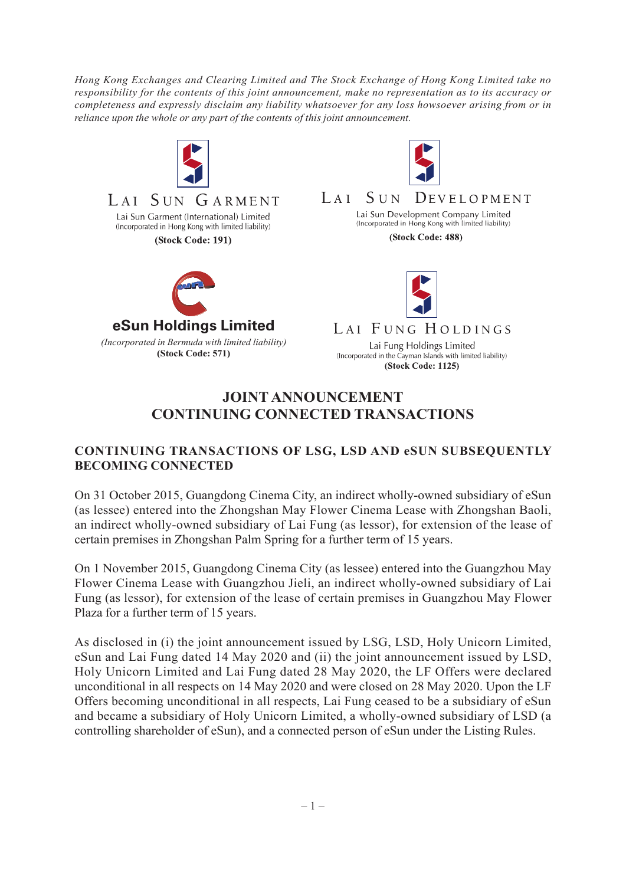*Hong Kong Exchanges and Clearing Limited and The Stock Exchange of Hong Kong Limited take no responsibility for the contents of this joint announcement, make no representation as to its accuracy or completeness and expressly disclaim any liability whatsoever for any loss howsoever arising from or in reliance upon the whole or any part of the contents of this joint announcement.*



**eSun Holdings Limited** *(Incorporated in Bermuda with limited liability)*

**(Stock Code: 571)**



LAI SUN DEVELOPMENT Lai Sun Development Company Limited (Incorporated in Hong Kong with limited liability)

(Stock Code: 488)



LAI FUNG HOLDINGS Lai Fung Holdings Limited (Incorporated in the Cayman Islands with limited liability) **(Stock Code: 1125)** 

# **JOINT ANNOUNCEMENT CONTINUING CONNECTED TRANSACTIONS**

# **CONTINUING TRANSACTIONS OF LSG, LSD AND eSUN SUBSEQUENTLY BECOMING CONNECTED**

On 31 October 2015, Guangdong Cinema City, an indirect wholly-owned subsidiary of eSun (as lessee) entered into the Zhongshan May Flower Cinema Lease with Zhongshan Baoli, an indirect wholly-owned subsidiary of Lai Fung (as lessor), for extension of the lease of certain premises in Zhongshan Palm Spring for a further term of 15 years.

On 1 November 2015, Guangdong Cinema City (as lessee) entered into the Guangzhou May Flower Cinema Lease with Guangzhou Jieli, an indirect wholly-owned subsidiary of Lai Fung (as lessor), for extension of the lease of certain premises in Guangzhou May Flower Plaza for a further term of 15 years.

As disclosed in (i) the joint announcement issued by LSG, LSD, Holy Unicorn Limited, eSun and Lai Fung dated 14 May 2020 and (ii) the joint announcement issued by LSD, Holy Unicorn Limited and Lai Fung dated 28 May 2020, the LF Offers were declared unconditional in all respects on 14 May 2020 and were closed on 28 May 2020. Upon the LF Offers becoming unconditional in all respects, Lai Fung ceased to be a subsidiary of eSun and became a subsidiary of Holy Unicorn Limited, a wholly-owned subsidiary of LSD (a controlling shareholder of eSun), and a connected person of eSun under the Listing Rules.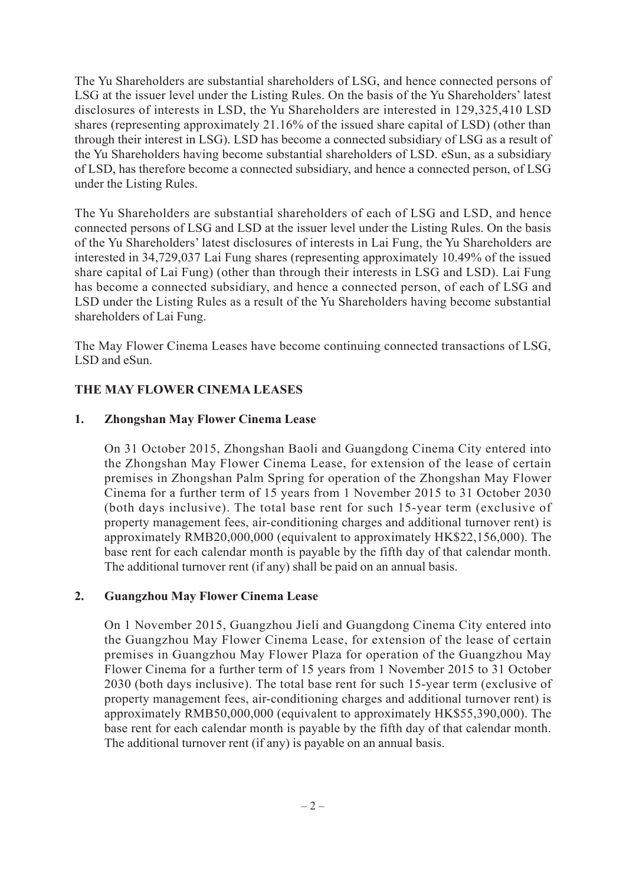The Yu Shareholders are substantial shareholders of LSG, and hence connected persons of LSG at the issuer level under the Listing Rules. On the basis of the Yu Shareholders' latest disclosures of interests in LSD, the Yu Shareholders are interested in 129,325,410 LSD shares (representing approximately 21.16% of the issued share capital of LSD) (other than through their interest in LSG). LSD has become a connected subsidiary of LSG as a result of the Yu Shareholders having become substantial shareholders of LSD. eSun, as a subsidiary of LSD, has therefore become a connected subsidiary, and hence a connected person, of LSG under the Listing Rules.

The Yu Shareholders are substantial shareholders of each of LSG and LSD, and hence connected persons of LSG and LSD at the issuer level under the Listing Rules. On the basis of the Yu Shareholders' latest disclosures of interests in Lai Fung, the Yu Shareholders are interested in 34,729,037 Lai Fung shares (representing approximately 10.49% of the issued share capital of Lai Fung) (other than through their interests in LSG and LSD). Lai Fung has become a connected subsidiary, and hence a connected person, of each of LSG and LSD under the Listing Rules as a result of the Yu Shareholders having become substantial shareholders of Lai Fung.

The May Flower Cinema Leases have become continuing connected transactions of LSG, LSD and eSun.

# **THE MAY FLOWER CINEMA LEASES**

## **1. Zhongshan May Flower Cinema Lease**

On 31 October 2015, Zhongshan Baoli and Guangdong Cinema City entered into the Zhongshan May Flower Cinema Lease, for extension of the lease of certain premises in Zhongshan Palm Spring for operation of the Zhongshan May Flower Cinema for a further term of 15 years from 1 November 2015 to 31 October 2030 (both days inclusive). The total base rent for such 15-year term (exclusive of property management fees, air-conditioning charges and additional turnover rent) is approximately RMB20,000,000 (equivalent to approximately HK\$22,156,000). The base rent for each calendar month is payable by the fifth day of that calendar month. The additional turnover rent (if any) shall be paid on an annual basis.

# **2. Guangzhou May Flower Cinema Lease**

On 1 November 2015, Guangzhou Jieli and Guangdong Cinema City entered into the Guangzhou May Flower Cinema Lease, for extension of the lease of certain premises in Guangzhou May Flower Plaza for operation of the Guangzhou May Flower Cinema for a further term of 15 years from 1 November 2015 to 31 October 2030 (both days inclusive). The total base rent for such 15-year term (exclusive of property management fees, air-conditioning charges and additional turnover rent) is approximately RMB50,000,000 (equivalent to approximately HK\$55,390,000). The base rent for each calendar month is payable by the fifth day of that calendar month. The additional turnover rent (if any) is payable on an annual basis.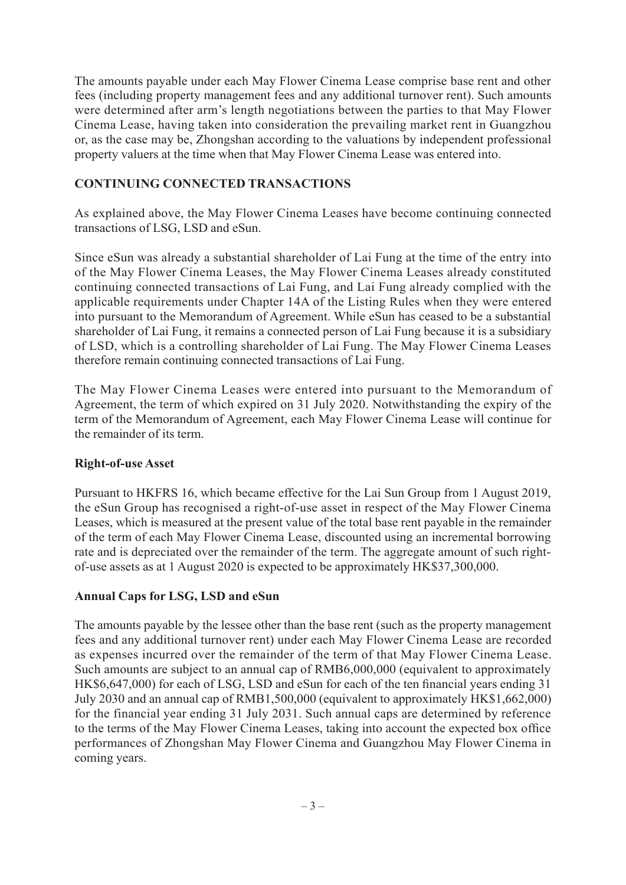The amounts payable under each May Flower Cinema Lease comprise base rent and other fees (including property management fees and any additional turnover rent). Such amounts were determined after arm's length negotiations between the parties to that May Flower Cinema Lease, having taken into consideration the prevailing market rent in Guangzhou or, as the case may be, Zhongshan according to the valuations by independent professional property valuers at the time when that May Flower Cinema Lease was entered into.

## **CONTINUING CONNECTED TRANSACTIONS**

As explained above, the May Flower Cinema Leases have become continuing connected transactions of LSG, LSD and eSun.

Since eSun was already a substantial shareholder of Lai Fung at the time of the entry into of the May Flower Cinema Leases, the May Flower Cinema Leases already constituted continuing connected transactions of Lai Fung, and Lai Fung already complied with the applicable requirements under Chapter 14A of the Listing Rules when they were entered into pursuant to the Memorandum of Agreement. While eSun has ceased to be a substantial shareholder of Lai Fung, it remains a connected person of Lai Fung because it is a subsidiary of LSD, which is a controlling shareholder of Lai Fung. The May Flower Cinema Leases therefore remain continuing connected transactions of Lai Fung.

The May Flower Cinema Leases were entered into pursuant to the Memorandum of Agreement, the term of which expired on 31 July 2020. Notwithstanding the expiry of the term of the Memorandum of Agreement, each May Flower Cinema Lease will continue for the remainder of its term.

#### **Right-of-use Asset**

Pursuant to HKFRS 16, which became effective for the Lai Sun Group from 1 August 2019, the eSun Group has recognised a right-of-use asset in respect of the May Flower Cinema Leases, which is measured at the present value of the total base rent payable in the remainder of the term of each May Flower Cinema Lease, discounted using an incremental borrowing rate and is depreciated over the remainder of the term. The aggregate amount of such rightof-use assets as at 1 August 2020 is expected to be approximately HK\$37,300,000.

#### **Annual Caps for LSG, LSD and eSun**

The amounts payable by the lessee other than the base rent (such as the property management fees and any additional turnover rent) under each May Flower Cinema Lease are recorded as expenses incurred over the remainder of the term of that May Flower Cinema Lease. Such amounts are subject to an annual cap of RMB6,000,000 (equivalent to approximately HK\$6,647,000) for each of LSG, LSD and eSun for each of the ten financial years ending 31 July 2030 and an annual cap of RMB1,500,000 (equivalent to approximately HK\$1,662,000) for the financial year ending 31 July 2031. Such annual caps are determined by reference to the terms of the May Flower Cinema Leases, taking into account the expected box office performances of Zhongshan May Flower Cinema and Guangzhou May Flower Cinema in coming years.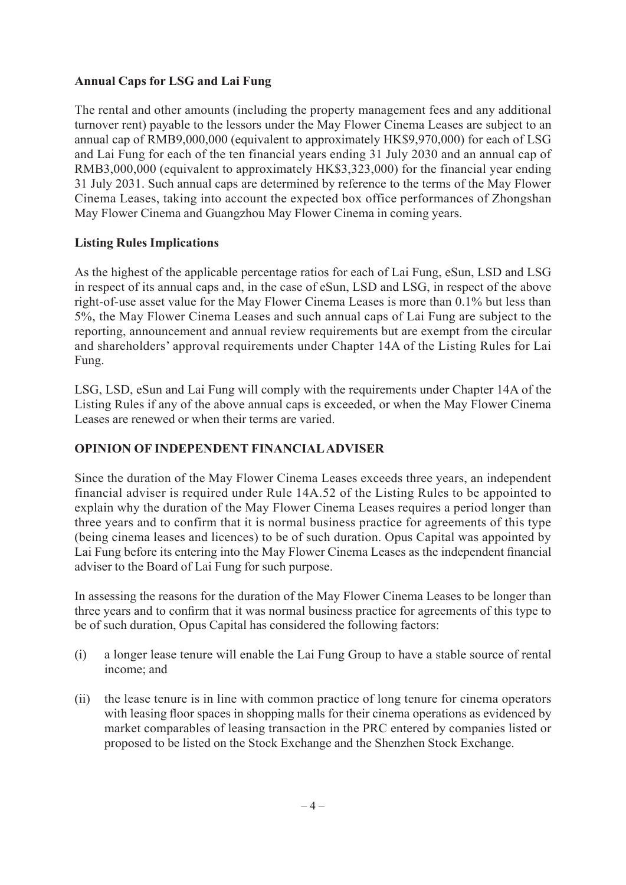# **Annual Caps for LSG and Lai Fung**

The rental and other amounts (including the property management fees and any additional turnover rent) payable to the lessors under the May Flower Cinema Leases are subject to an annual cap of RMB9,000,000 (equivalent to approximately HK\$9,970,000) for each of LSG and Lai Fung for each of the ten financial years ending 31 July 2030 and an annual cap of RMB3,000,000 (equivalent to approximately HK\$3,323,000) for the financial year ending 31 July 2031. Such annual caps are determined by reference to the terms of the May Flower Cinema Leases, taking into account the expected box office performances of Zhongshan May Flower Cinema and Guangzhou May Flower Cinema in coming years.

# **Listing Rules Implications**

As the highest of the applicable percentage ratios for each of Lai Fung, eSun, LSD and LSG in respect of its annual caps and, in the case of eSun, LSD and LSG, in respect of the above right-of-use asset value for the May Flower Cinema Leases is more than 0.1% but less than 5%, the May Flower Cinema Leases and such annual caps of Lai Fung are subject to the reporting, announcement and annual review requirements but are exempt from the circular and shareholders' approval requirements under Chapter 14A of the Listing Rules for Lai Fung.

LSG, LSD, eSun and Lai Fung will comply with the requirements under Chapter 14A of the Listing Rules if any of the above annual caps is exceeded, or when the May Flower Cinema Leases are renewed or when their terms are varied.

#### **OPINION OF INDEPENDENT FINANCIAL ADVISER**

Since the duration of the May Flower Cinema Leases exceeds three years, an independent financial adviser is required under Rule 14A.52 of the Listing Rules to be appointed to explain why the duration of the May Flower Cinema Leases requires a period longer than three years and to confirm that it is normal business practice for agreements of this type (being cinema leases and licences) to be of such duration. Opus Capital was appointed by Lai Fung before its entering into the May Flower Cinema Leases as the independent financial adviser to the Board of Lai Fung for such purpose.

In assessing the reasons for the duration of the May Flower Cinema Leases to be longer than three years and to confirm that it was normal business practice for agreements of this type to be of such duration, Opus Capital has considered the following factors:

- (i) a longer lease tenure will enable the Lai Fung Group to have a stable source of rental income; and
- (ii) the lease tenure is in line with common practice of long tenure for cinema operators with leasing floor spaces in shopping malls for their cinema operations as evidenced by market comparables of leasing transaction in the PRC entered by companies listed or proposed to be listed on the Stock Exchange and the Shenzhen Stock Exchange.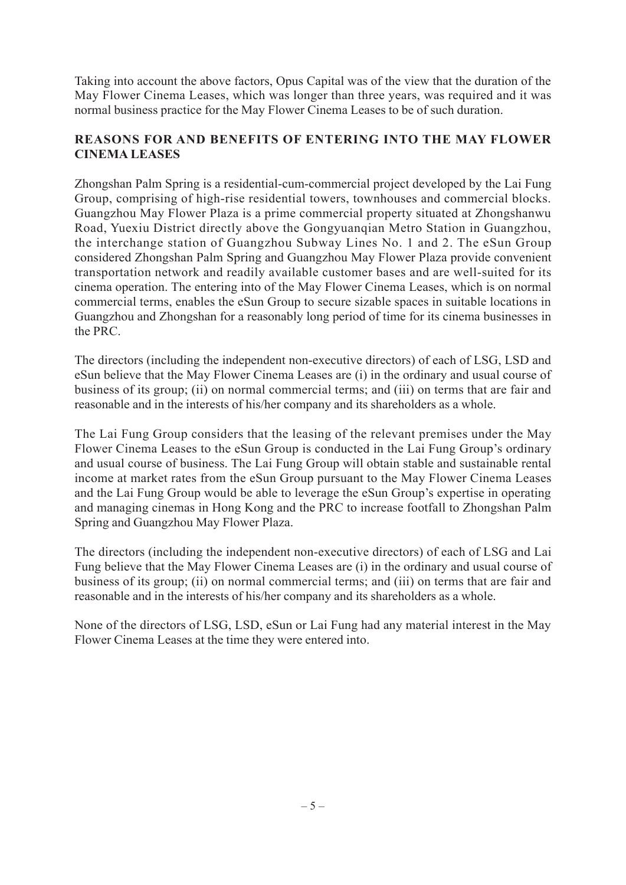Taking into account the above factors, Opus Capital was of the view that the duration of the May Flower Cinema Leases, which was longer than three years, was required and it was normal business practice for the May Flower Cinema Leases to be of such duration.

#### **REASONS FOR AND BENEFITS OF ENTERING INTO THE MAY FLOWER CINEMA LEASES**

Zhongshan Palm Spring is a residential-cum-commercial project developed by the Lai Fung Group, comprising of high-rise residential towers, townhouses and commercial blocks. Guangzhou May Flower Plaza is a prime commercial property situated at Zhongshanwu Road, Yuexiu District directly above the Gongyuanqian Metro Station in Guangzhou, the interchange station of Guangzhou Subway Lines No. 1 and 2. The eSun Group considered Zhongshan Palm Spring and Guangzhou May Flower Plaza provide convenient transportation network and readily available customer bases and are well-suited for its cinema operation. The entering into of the May Flower Cinema Leases, which is on normal commercial terms, enables the eSun Group to secure sizable spaces in suitable locations in Guangzhou and Zhongshan for a reasonably long period of time for its cinema businesses in the PRC.

The directors (including the independent non-executive directors) of each of LSG, LSD and eSun believe that the May Flower Cinema Leases are (i) in the ordinary and usual course of business of its group; (ii) on normal commercial terms; and (iii) on terms that are fair and reasonable and in the interests of his/her company and its shareholders as a whole.

The Lai Fung Group considers that the leasing of the relevant premises under the May Flower Cinema Leases to the eSun Group is conducted in the Lai Fung Group's ordinary and usual course of business. The Lai Fung Group will obtain stable and sustainable rental income at market rates from the eSun Group pursuant to the May Flower Cinema Leases and the Lai Fung Group would be able to leverage the eSun Group's expertise in operating and managing cinemas in Hong Kong and the PRC to increase footfall to Zhongshan Palm Spring and Guangzhou May Flower Plaza.

The directors (including the independent non-executive directors) of each of LSG and Lai Fung believe that the May Flower Cinema Leases are (i) in the ordinary and usual course of business of its group; (ii) on normal commercial terms; and (iii) on terms that are fair and reasonable and in the interests of his/her company and its shareholders as a whole.

None of the directors of LSG, LSD, eSun or Lai Fung had any material interest in the May Flower Cinema Leases at the time they were entered into.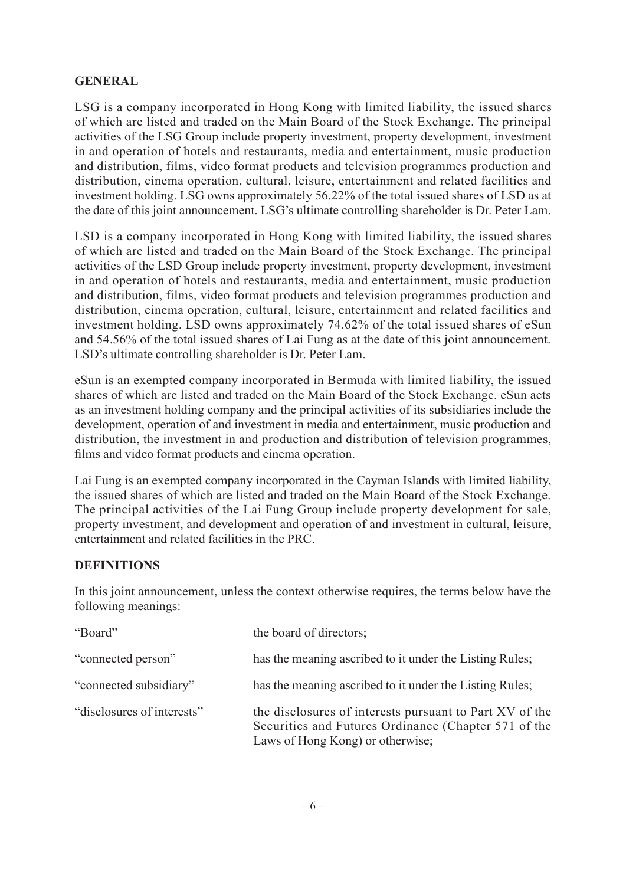# **GENERAL**

LSG is a company incorporated in Hong Kong with limited liability, the issued shares of which are listed and traded on the Main Board of the Stock Exchange. The principal activities of the LSG Group include property investment, property development, investment in and operation of hotels and restaurants, media and entertainment, music production and distribution, films, video format products and television programmes production and distribution, cinema operation, cultural, leisure, entertainment and related facilities and investment holding. LSG owns approximately 56.22% of the total issued shares of LSD as at the date of this joint announcement. LSG's ultimate controlling shareholder is Dr. Peter Lam.

LSD is a company incorporated in Hong Kong with limited liability, the issued shares of which are listed and traded on the Main Board of the Stock Exchange. The principal activities of the LSD Group include property investment, property development, investment in and operation of hotels and restaurants, media and entertainment, music production and distribution, films, video format products and television programmes production and distribution, cinema operation, cultural, leisure, entertainment and related facilities and investment holding. LSD owns approximately 74.62% of the total issued shares of eSun and 54.56% of the total issued shares of Lai Fung as at the date of this joint announcement. LSD's ultimate controlling shareholder is Dr. Peter Lam.

eSun is an exempted company incorporated in Bermuda with limited liability, the issued shares of which are listed and traded on the Main Board of the Stock Exchange. eSun acts as an investment holding company and the principal activities of its subsidiaries include the development, operation of and investment in media and entertainment, music production and distribution, the investment in and production and distribution of television programmes, films and video format products and cinema operation.

Lai Fung is an exempted company incorporated in the Cayman Islands with limited liability, the issued shares of which are listed and traded on the Main Board of the Stock Exchange. The principal activities of the Lai Fung Group include property development for sale, property investment, and development and operation of and investment in cultural, leisure, entertainment and related facilities in the PRC.

# **DEFINITIONS**

In this joint announcement, unless the context otherwise requires, the terms below have the following meanings:

| "Board"                    | the board of directors;                                                                                                                             |
|----------------------------|-----------------------------------------------------------------------------------------------------------------------------------------------------|
| "connected person"         | has the meaning ascribed to it under the Listing Rules;                                                                                             |
| "connected subsidiary"     | has the meaning ascribed to it under the Listing Rules;                                                                                             |
| "disclosures of interests" | the disclosures of interests pursuant to Part XV of the<br>Securities and Futures Ordinance (Chapter 571 of the<br>Laws of Hong Kong) or otherwise; |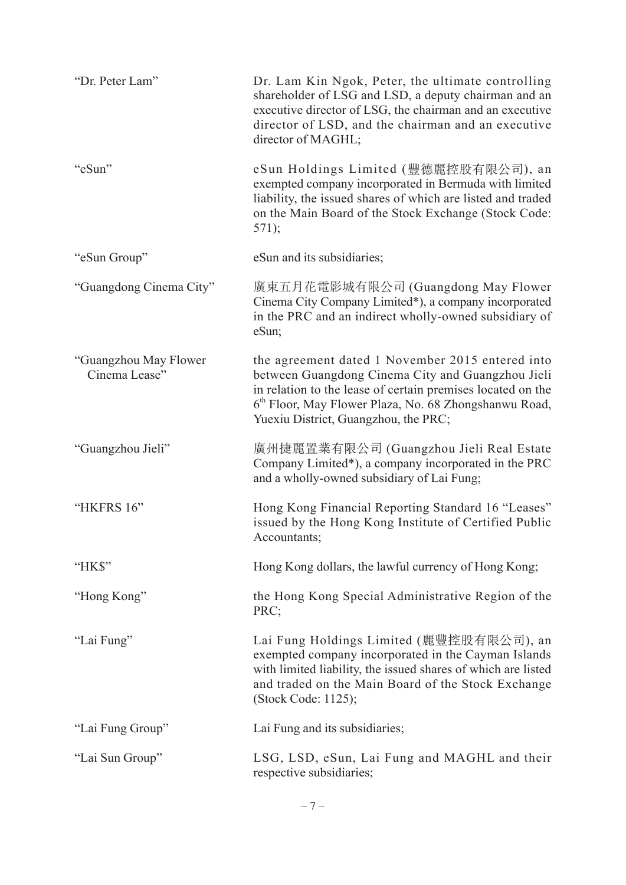| "Dr. Peter Lam"                        | Dr. Lam Kin Ngok, Peter, the ultimate controlling<br>shareholder of LSG and LSD, a deputy chairman and an<br>executive director of LSG, the chairman and an executive<br>director of LSD, and the chairman and an executive<br>director of MAGHL;                                 |
|----------------------------------------|-----------------------------------------------------------------------------------------------------------------------------------------------------------------------------------------------------------------------------------------------------------------------------------|
| "eSun"                                 | eSun Holdings Limited (豐德麗控股有限公司), an<br>exempted company incorporated in Bermuda with limited<br>liability, the issued shares of which are listed and traded<br>on the Main Board of the Stock Exchange (Stock Code:<br>571);                                                    |
| "eSun Group"                           | eSun and its subsidiaries;                                                                                                                                                                                                                                                        |
| "Guangdong Cinema City"                | 廣東五月花電影城有限公司 (Guangdong May Flower<br>Cinema City Company Limited*), a company incorporated<br>in the PRC and an indirect wholly-owned subsidiary of<br>eSun;                                                                                                                     |
| "Guangzhou May Flower<br>Cinema Lease" | the agreement dated 1 November 2015 entered into<br>between Guangdong Cinema City and Guangzhou Jieli<br>in relation to the lease of certain premises located on the<br>6 <sup>th</sup> Floor, May Flower Plaza, No. 68 Zhongshanwu Road,<br>Yuexiu District, Guangzhou, the PRC; |
| "Guangzhou Jieli"                      | 廣州捷麗置業有限公司 (Guangzhou Jieli Real Estate<br>Company Limited*), a company incorporated in the PRC<br>and a wholly-owned subsidiary of Lai Fung;                                                                                                                                     |
| "HKFRS 16"                             | Hong Kong Financial Reporting Standard 16 "Leases"<br>issued by the Hong Kong Institute of Certified Public<br>Accountants;                                                                                                                                                       |
| "HK\$"                                 | Hong Kong dollars, the lawful currency of Hong Kong;                                                                                                                                                                                                                              |
| "Hong Kong"                            | the Hong Kong Special Administrative Region of the<br>PRC:                                                                                                                                                                                                                        |
| "Lai Fung"                             | Lai Fung Holdings Limited (麗豐控股有限公司), an<br>exempted company incorporated in the Cayman Islands<br>with limited liability, the issued shares of which are listed<br>and traded on the Main Board of the Stock Exchange<br>(Stock Code: 1125);                                     |
| "Lai Fung Group"                       | Lai Fung and its subsidiaries;                                                                                                                                                                                                                                                    |
| "Lai Sun Group"                        | LSG, LSD, eSun, Lai Fung and MAGHL and their<br>respective subsidiaries;                                                                                                                                                                                                          |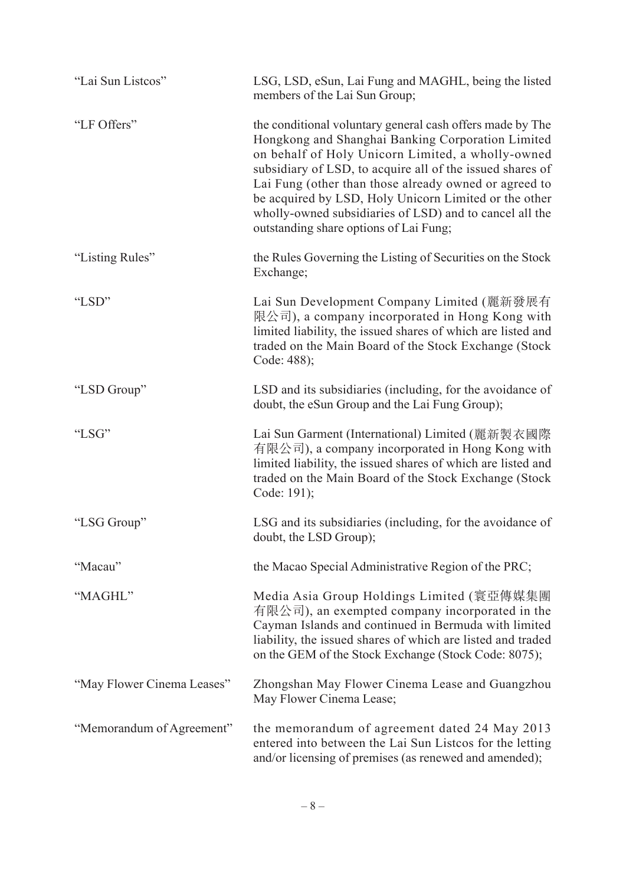| "Lai Sun Listcos"          | LSG, LSD, eSun, Lai Fung and MAGHL, being the listed<br>members of the Lai Sun Group;                                                                                                                                                                                                                                                                                                                                                                   |
|----------------------------|---------------------------------------------------------------------------------------------------------------------------------------------------------------------------------------------------------------------------------------------------------------------------------------------------------------------------------------------------------------------------------------------------------------------------------------------------------|
| "LF Offers"                | the conditional voluntary general cash offers made by The<br>Hongkong and Shanghai Banking Corporation Limited<br>on behalf of Holy Unicorn Limited, a wholly-owned<br>subsidiary of LSD, to acquire all of the issued shares of<br>Lai Fung (other than those already owned or agreed to<br>be acquired by LSD, Holy Unicorn Limited or the other<br>wholly-owned subsidiaries of LSD) and to cancel all the<br>outstanding share options of Lai Fung; |
| "Listing Rules"            | the Rules Governing the Listing of Securities on the Stock<br>Exchange;                                                                                                                                                                                                                                                                                                                                                                                 |
| "LSD"                      | Lai Sun Development Company Limited (麗新發展有<br>限公司), a company incorporated in Hong Kong with<br>limited liability, the issued shares of which are listed and<br>traded on the Main Board of the Stock Exchange (Stock<br>Code: 488);                                                                                                                                                                                                                    |
| "LSD Group"                | LSD and its subsidiaries (including, for the avoidance of<br>doubt, the eSun Group and the Lai Fung Group);                                                                                                                                                                                                                                                                                                                                             |
| "LSG"                      | Lai Sun Garment (International) Limited (麗新製衣國際<br>有限公司), a company incorporated in Hong Kong with<br>limited liability, the issued shares of which are listed and<br>traded on the Main Board of the Stock Exchange (Stock<br>Code: 191);                                                                                                                                                                                                              |
| "LSG Group"                | LSG and its subsidiaries (including, for the avoidance of<br>doubt, the LSD Group);                                                                                                                                                                                                                                                                                                                                                                     |
| "Macau"                    | the Macao Special Administrative Region of the PRC;                                                                                                                                                                                                                                                                                                                                                                                                     |
| "MAGHL"                    | Media Asia Group Holdings Limited (寰亞傳媒集團<br>有限公司), an exempted company incorporated in the<br>Cayman Islands and continued in Bermuda with limited<br>liability, the issued shares of which are listed and traded<br>on the GEM of the Stock Exchange (Stock Code: 8075);                                                                                                                                                                              |
| "May Flower Cinema Leases" | Zhongshan May Flower Cinema Lease and Guangzhou<br>May Flower Cinema Lease;                                                                                                                                                                                                                                                                                                                                                                             |
| "Memorandum of Agreement"  | the memorandum of agreement dated 24 May 2013<br>entered into between the Lai Sun Listcos for the letting<br>and/or licensing of premises (as renewed and amended);                                                                                                                                                                                                                                                                                     |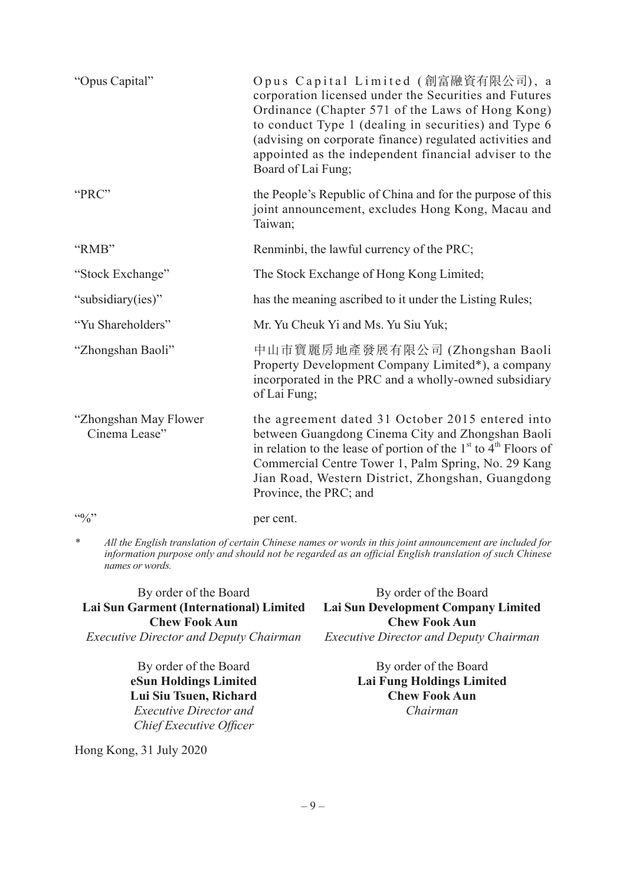| "Opus Capital"                         | Opus Capital Limited (創富融資有限公司), a<br>corporation licensed under the Securities and Futures<br>Ordinance (Chapter 571 of the Laws of Hong Kong)<br>to conduct Type 1 (dealing in securities) and Type 6<br>(advising on corporate finance) regulated activities and<br>appointed as the independent financial adviser to the<br>Board of Lai Fung; |
|----------------------------------------|----------------------------------------------------------------------------------------------------------------------------------------------------------------------------------------------------------------------------------------------------------------------------------------------------------------------------------------------------|
| "PRC"                                  | the People's Republic of China and for the purpose of this<br>joint announcement, excludes Hong Kong, Macau and<br>Taiwan;                                                                                                                                                                                                                         |
| "RMB"                                  | Renminbi, the lawful currency of the PRC;                                                                                                                                                                                                                                                                                                          |
| "Stock Exchange"                       | The Stock Exchange of Hong Kong Limited;                                                                                                                                                                                                                                                                                                           |
| "subsidiary(ies)"                      | has the meaning ascribed to it under the Listing Rules;                                                                                                                                                                                                                                                                                            |
| "Yu Shareholders"                      | Mr. Yu Cheuk Yi and Ms. Yu Siu Yuk;                                                                                                                                                                                                                                                                                                                |
| "Zhongshan Baoli"                      | 中山市寶麗房地產發展有限公司 (Zhongshan Baoli<br>Property Development Company Limited*), a company<br>incorporated in the PRC and a wholly-owned subsidiary<br>of Lai Fung;                                                                                                                                                                                      |
| "Zhongshan May Flower<br>Cinema Lease" | the agreement dated 31 October 2015 entered into<br>between Guangdong Cinema City and Zhongshan Baoli<br>in relation to the lease of portion of the $1st$ to $4th$ Floors of<br>Commercial Centre Tower 1, Palm Spring, No. 29 Kang<br>Jian Road, Western District, Zhongshan, Guangdong<br>Province, the PRC; and                                 |
| 440/2                                  | per cent.                                                                                                                                                                                                                                                                                                                                          |

*\* All the English translation of certain Chinese names or words in this joint announcement are included for information purpose only and should not be regarded as an official English translation of such Chinese names or words.*

By order of the Board By order of the Board **Lai Sun Garment (International) Limited Lai Sun Development Company Limited Chew Fook Aun Chew Fook Aun** *Executive Director and Deputy Chairman Executive Director and Deputy Chairman*

> **Lui Siu Tsuen, Richard Chew Fook Aun** *Executive Director and Chairman Chief Executive Officer*

Hong Kong, 31 July 2020

By order of the Board By order of the Board **eSun Holdings Limited Lai Fung Holdings Limited**